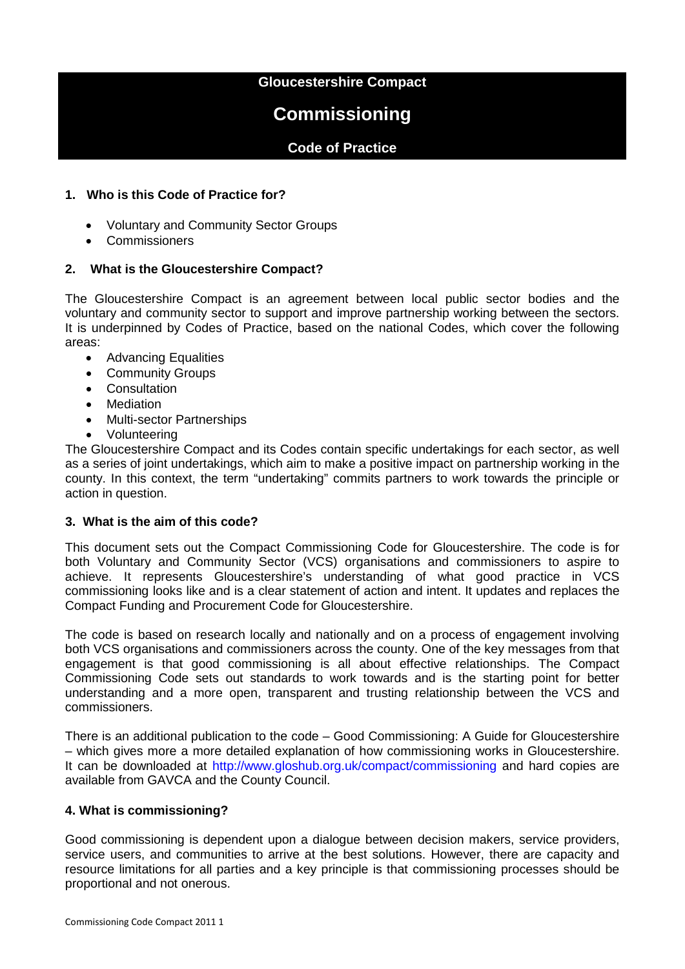## **Gloucestershire Compact**

# **Commissioning**

# **Code of Practice**

## **1. Who is this Code of Practice for?**

- Voluntary and Community Sector Groups
- Commissioners

## **2. What is the Gloucestershire Compact?**

The Gloucestershire Compact is an agreement between local public sector bodies and the voluntary and community sector to support and improve partnership working between the sectors. It is underpinned by Codes of Practice, based on the national Codes, which cover the following areas:

- Advancing Equalities
- Community Groups
- Consultation
- Mediation
- Multi-sector Partnerships
- Volunteering

The Gloucestershire Compact and its Codes contain specific undertakings for each sector, as well as a series of joint undertakings, which aim to make a positive impact on partnership working in the county. In this context, the term "undertaking" commits partners to work towards the principle or action in question.

## **3. What is the aim of this code?**

This document sets out the Compact Commissioning Code for Gloucestershire. The code is for both Voluntary and Community Sector (VCS) organisations and commissioners to aspire to achieve. It represents Gloucestershire's understanding of what good practice in VCS commissioning looks like and is a clear statement of action and intent. It updates and replaces the Compact Funding and Procurement Code for Gloucestershire.

The code is based on research locally and nationally and on a process of engagement involving both VCS organisations and commissioners across the county. One of the key messages from that engagement is that good commissioning is all about effective relationships. The Compact Commissioning Code sets out standards to work towards and is the starting point for better understanding and a more open, transparent and trusting relationship between the VCS and commissioners.

There is an additional publication to the code – Good Commissioning: A Guide for Gloucestershire – which gives more a more detailed explanation of how commissioning works in Gloucestershire. It can be downloaded at<http://www.gloshub.org.uk/compact/commissioning> and hard copies are available from GAVCA and the County Council.

## **4. What is commissioning?**

Good commissioning is dependent upon a dialogue between decision makers, service providers, service users, and communities to arrive at the best solutions. However, there are capacity and resource limitations for all parties and a key principle is that commissioning processes should be proportional and not onerous.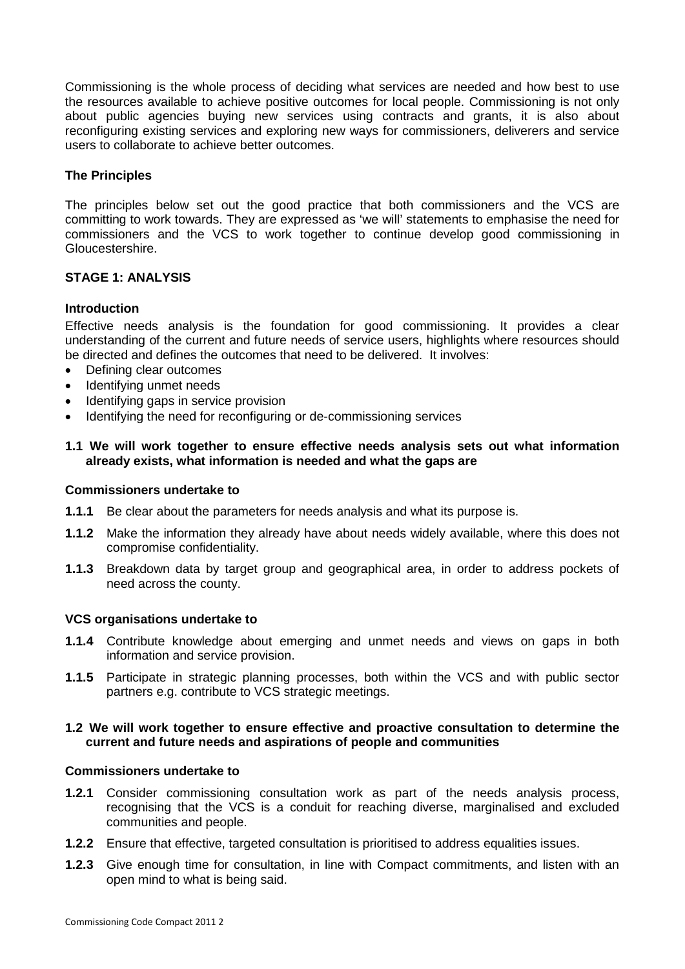Commissioning is the whole process of deciding what services are needed and how best to use the resources available to achieve positive outcomes for local people. Commissioning is not only about public agencies buying new services using contracts and grants, it is also about reconfiguring existing services and exploring new ways for commissioners, deliverers and service users to collaborate to achieve better outcomes.

## **The Principles**

The principles below set out the good practice that both commissioners and the VCS are committing to work towards. They are expressed as 'we will' statements to emphasise the need for commissioners and the VCS to work together to continue develop good commissioning in Gloucestershire.

## **STAGE 1: ANALYSIS**

## **Introduction**

Effective needs analysis is the foundation for good commissioning. It provides a clear understanding of the current and future needs of service users, highlights where resources should be directed and defines the outcomes that need to be delivered. It involves:

- Defining clear outcomes
- Identifying unmet needs
- Identifying gaps in service provision
- Identifying the need for reconfiguring or de-commissioning services

## **1.1 We will work together to ensure effective needs analysis sets out what information already exists, what information is needed and what the gaps are**

#### **Commissioners undertake to**

- **1.1.1** Be clear about the parameters for needs analysis and what its purpose is.
- **1.1.2** Make the information they already have about needs widely available, where this does not compromise confidentiality.
- **1.1.3** Breakdown data by target group and geographical area, in order to address pockets of need across the county.

#### **VCS organisations undertake to**

- **1.1.4** Contribute knowledge about emerging and unmet needs and views on gaps in both information and service provision.
- **1.1.5** Participate in strategic planning processes, both within the VCS and with public sector partners e.g. contribute to VCS strategic meetings.

## **1.2 We will work together to ensure effective and proactive consultation to determine the current and future needs and aspirations of people and communities**

#### **Commissioners undertake to**

- **1.2.1** Consider commissioning consultation work as part of the needs analysis process, recognising that the VCS is a conduit for reaching diverse, marginalised and excluded communities and people.
- **1.2.2** Ensure that effective, targeted consultation is prioritised to address equalities issues.
- **1.2.3** Give enough time for consultation, in line with Compact commitments, and listen with an open mind to what is being said.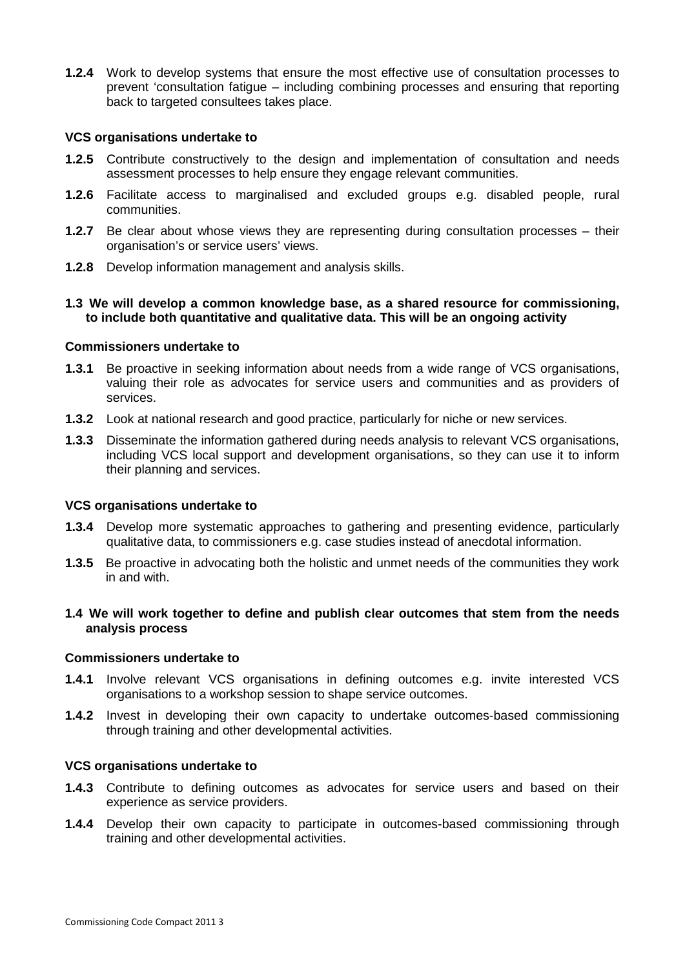**1.2.4** Work to develop systems that ensure the most effective use of consultation processes to prevent 'consultation fatigue – including combining processes and ensuring that reporting back to targeted consultees takes place.

#### **VCS organisations undertake to**

- **1.2.5** Contribute constructively to the design and implementation of consultation and needs assessment processes to help ensure they engage relevant communities.
- **1.2.6** Facilitate access to marginalised and excluded groups e.g. disabled people, rural communities.
- **1.2.7** Be clear about whose views they are representing during consultation processes their organisation's or service users' views.
- **1.2.8** Develop information management and analysis skills.

#### **1.3 We will develop a common knowledge base, as a shared resource for commissioning, to include both quantitative and qualitative data. This will be an ongoing activity**

#### **Commissioners undertake to**

- **1.3.1** Be proactive in seeking information about needs from a wide range of VCS organisations, valuing their role as advocates for service users and communities and as providers of services.
- **1.3.2** Look at national research and good practice, particularly for niche or new services.
- **1.3.3** Disseminate the information gathered during needs analysis to relevant VCS organisations, including VCS local support and development organisations, so they can use it to inform their planning and services.

#### **VCS organisations undertake to**

- **1.3.4** Develop more systematic approaches to gathering and presenting evidence, particularly qualitative data, to commissioners e.g. case studies instead of anecdotal information.
- **1.3.5** Be proactive in advocating both the holistic and unmet needs of the communities they work in and with.

## **1.4 We will work together to define and publish clear outcomes that stem from the needs analysis process**

#### **Commissioners undertake to**

- **1.4.1** Involve relevant VCS organisations in defining outcomes e.g. invite interested VCS organisations to a workshop session to shape service outcomes.
- **1.4.2** Invest in developing their own capacity to undertake outcomes-based commissioning through training and other developmental activities.

#### **VCS organisations undertake to**

- **1.4.3** Contribute to defining outcomes as advocates for service users and based on their experience as service providers.
- **1.4.4** Develop their own capacity to participate in outcomes-based commissioning through training and other developmental activities.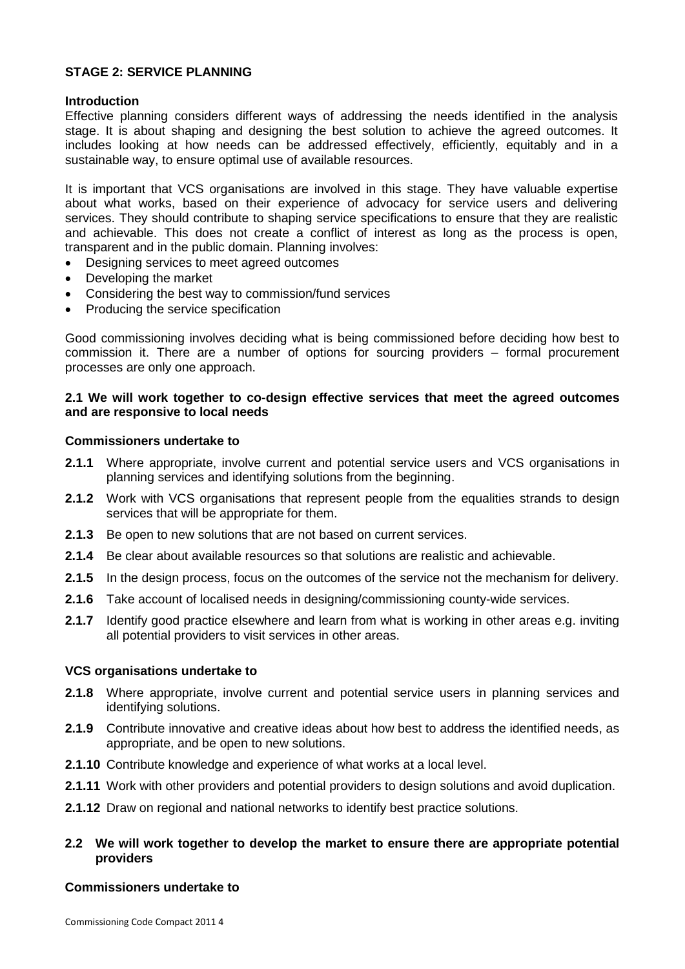## **STAGE 2: SERVICE PLANNING**

## **Introduction**

Effective planning considers different ways of addressing the needs identified in the analysis stage. It is about shaping and designing the best solution to achieve the agreed outcomes. It includes looking at how needs can be addressed effectively, efficiently, equitably and in a sustainable way, to ensure optimal use of available resources.

It is important that VCS organisations are involved in this stage. They have valuable expertise about what works, based on their experience of advocacy for service users and delivering services. They should contribute to shaping service specifications to ensure that they are realistic and achievable. This does not create a conflict of interest as long as the process is open, transparent and in the public domain. Planning involves:

- Designing services to meet agreed outcomes
- Developing the market
- Considering the best way to commission/fund services
- Producing the service specification

Good commissioning involves deciding what is being commissioned before deciding how best to commission it. There are a number of options for sourcing providers – formal procurement processes are only one approach.

## **2.1 We will work together to co-design effective services that meet the agreed outcomes and are responsive to local needs**

## **Commissioners undertake to**

- **2.1.1** Where appropriate, involve current and potential service users and VCS organisations in planning services and identifying solutions from the beginning.
- **2.1.2** Work with VCS organisations that represent people from the equalities strands to design services that will be appropriate for them.
- **2.1.3** Be open to new solutions that are not based on current services.
- **2.1.4** Be clear about available resources so that solutions are realistic and achievable.
- **2.1.5** In the design process, focus on the outcomes of the service not the mechanism for delivery.
- **2.1.6** Take account of localised needs in designing/commissioning county-wide services.
- **2.1.7** Identify good practice elsewhere and learn from what is working in other areas e.g. inviting all potential providers to visit services in other areas.

#### **VCS organisations undertake to**

- **2.1.8** Where appropriate, involve current and potential service users in planning services and identifying solutions.
- **2.1.9** Contribute innovative and creative ideas about how best to address the identified needs, as appropriate, and be open to new solutions.
- **2.1.10** Contribute knowledge and experience of what works at a local level.
- **2.1.11** Work with other providers and potential providers to design solutions and avoid duplication.
- **2.1.12** Draw on regional and national networks to identify best practice solutions.

## **2.2 We will work together to develop the market to ensure there are appropriate potential providers**

## **Commissioners undertake to**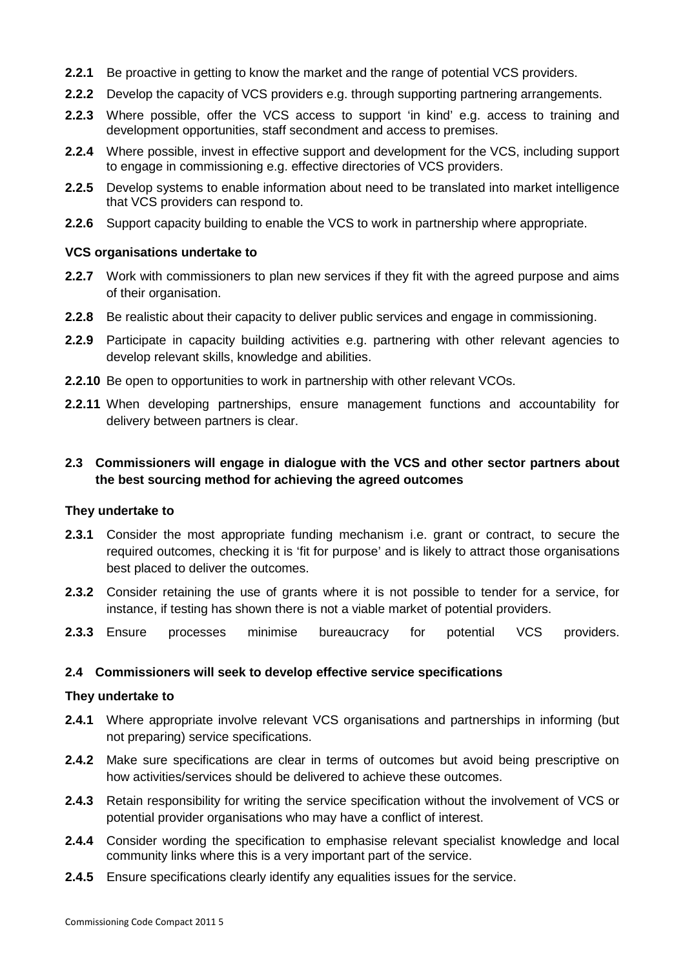- **2.2.1** Be proactive in getting to know the market and the range of potential VCS providers.
- **2.2.2** Develop the capacity of VCS providers e.g. through supporting partnering arrangements.
- **2.2.3** Where possible, offer the VCS access to support 'in kind' e.g. access to training and development opportunities, staff secondment and access to premises.
- **2.2.4** Where possible, invest in effective support and development for the VCS, including support to engage in commissioning e.g. effective directories of VCS providers.
- **2.2.5** Develop systems to enable information about need to be translated into market intelligence that VCS providers can respond to.
- **2.2.6** Support capacity building to enable the VCS to work in partnership where appropriate.

## **VCS organisations undertake to**

- **2.2.7** Work with commissioners to plan new services if they fit with the agreed purpose and aims of their organisation.
- **2.2.8** Be realistic about their capacity to deliver public services and engage in commissioning.
- **2.2.9** Participate in capacity building activities e.g. partnering with other relevant agencies to develop relevant skills, knowledge and abilities.
- **2.2.10** Be open to opportunities to work in partnership with other relevant VCOs.
- **2.2.11** When developing partnerships, ensure management functions and accountability for delivery between partners is clear.

## **2.3 Commissioners will engage in dialogue with the VCS and other sector partners about the best sourcing method for achieving the agreed outcomes**

#### **They undertake to**

- **2.3.1** Consider the most appropriate funding mechanism i.e. grant or contract, to secure the required outcomes, checking it is 'fit for purpose' and is likely to attract those organisations best placed to deliver the outcomes.
- **2.3.2** Consider retaining the use of grants where it is not possible to tender for a service, for instance, if testing has shown there is not a viable market of potential providers.
- **2.3.3** Ensure processes minimise bureaucracy for potential VCS providers.

## **2.4 Commissioners will seek to develop effective service specifications**

#### **They undertake to**

- **2.4.1** Where appropriate involve relevant VCS organisations and partnerships in informing (but not preparing) service specifications.
- **2.4.2** Make sure specifications are clear in terms of outcomes but avoid being prescriptive on how activities/services should be delivered to achieve these outcomes.
- **2.4.3** Retain responsibility for writing the service specification without the involvement of VCS or potential provider organisations who may have a conflict of interest.
- **2.4.4** Consider wording the specification to emphasise relevant specialist knowledge and local community links where this is a very important part of the service.
- **2.4.5** Ensure specifications clearly identify any equalities issues for the service.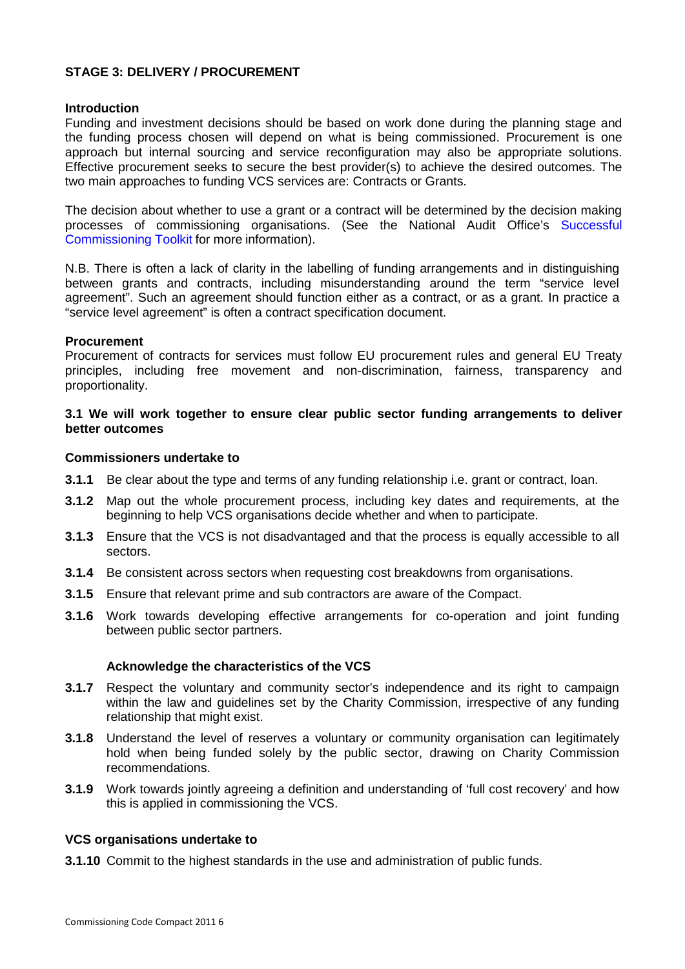## **STAGE 3: DELIVERY / PROCUREMENT**

## **Introduction**

Funding and investment decisions should be based on work done during the planning stage and the funding process chosen will depend on what is being commissioned. Procurement is one approach but internal sourcing and service reconfiguration may also be appropriate solutions. Effective procurement seeks to secure the best provider(s) to achieve the desired outcomes. The two main approaches to funding VCS services are: Contracts or Grants.

The decision about whether to use a grant or a contract will be determined by the decision making processes of commissioning organisations. (See the National Audit Office's [Successful](http://www.nao.org.uk/guidance__good_practice/third_sector/successful_commissioning/successful_commission_toolkit/toolkit_home.aspx)  [Commissioning Toolkit](http://www.nao.org.uk/guidance__good_practice/third_sector/successful_commissioning/successful_commission_toolkit/toolkit_home.aspx) for more information).

N.B. There is often a lack of clarity in the labelling of funding arrangements and in distinguishing between grants and contracts, including misunderstanding around the term "service level agreement". Such an agreement should function either as a contract, or as a grant. In practice a "service level agreement" is often a contract specification document.

## **Procurement**

Procurement of contracts for services must follow EU procurement rules and general EU Treaty principles, including free movement and non-discrimination, fairness, transparency and proportionality.

## **3.1 We will work together to ensure clear public sector funding arrangements to deliver better outcomes**

#### **Commissioners undertake to**

- **3.1.1** Be clear about the type and terms of any funding relationship i.e. grant or contract, loan.
- **3.1.2** Map out the whole procurement process, including key dates and requirements, at the beginning to help VCS organisations decide whether and when to participate.
- **3.1.3** Ensure that the VCS is not disadvantaged and that the process is equally accessible to all sectors.
- **3.1.4** Be consistent across sectors when requesting cost breakdowns from organisations.
- **3.1.5** Ensure that relevant prime and sub contractors are aware of the Compact.
- **3.1.6** Work towards developing effective arrangements for co-operation and joint funding between public sector partners.

#### **Acknowledge the characteristics of the VCS**

- **3.1.7** Respect the voluntary and community sector's independence and its right to campaign within the law and guidelines set by the Charity Commission, irrespective of any funding relationship that might exist.
- **3.1.8** Understand the level of reserves a voluntary or community organisation can legitimately hold when being funded solely by the public sector, drawing on Charity Commission recommendations.
- **3.1.9** Work towards jointly agreeing a definition and understanding of 'full cost recovery' and how this is applied in commissioning the VCS.

#### **VCS organisations undertake to**

**3.1.10** Commit to the highest standards in the use and administration of public funds.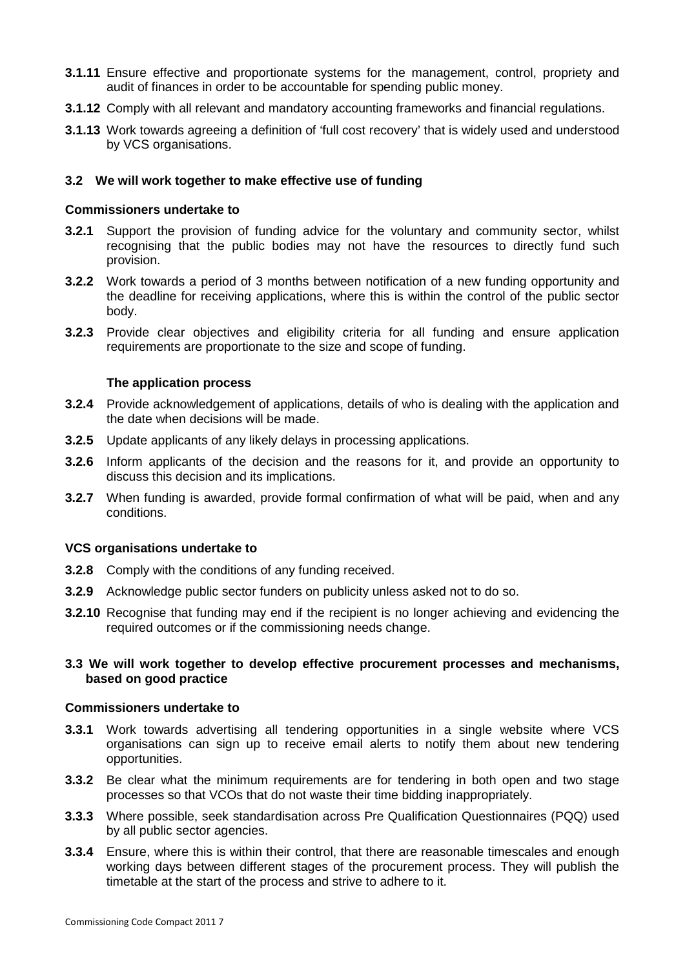- **3.1.11** Ensure effective and proportionate systems for the management, control, propriety and audit of finances in order to be accountable for spending public money.
- **3.1.12** Comply with all relevant and mandatory accounting frameworks and financial regulations.
- **3.1.13** Work towards agreeing a definition of 'full cost recovery' that is widely used and understood by VCS organisations.

## **3.2 We will work together to make effective use of funding**

#### **Commissioners undertake to**

- **3.2.1** Support the provision of funding advice for the voluntary and community sector, whilst recognising that the public bodies may not have the resources to directly fund such provision.
- **3.2.2** Work towards a period of 3 months between notification of a new funding opportunity and the deadline for receiving applications, where this is within the control of the public sector body.
- **3.2.3** Provide clear objectives and eligibility criteria for all funding and ensure application requirements are proportionate to the size and scope of funding.

#### **The application process**

- **3.2.4** Provide acknowledgement of applications, details of who is dealing with the application and the date when decisions will be made.
- **3.2.5** Update applicants of any likely delays in processing applications.
- **3.2.6** Inform applicants of the decision and the reasons for it, and provide an opportunity to discuss this decision and its implications.
- **3.2.7** When funding is awarded, provide formal confirmation of what will be paid, when and any conditions.

#### **VCS organisations undertake to**

- **3.2.8** Comply with the conditions of any funding received.
- **3.2.9** Acknowledge public sector funders on publicity unless asked not to do so.
- **3.2.10** Recognise that funding may end if the recipient is no longer achieving and evidencing the required outcomes or if the commissioning needs change.

## **3.3 We will work together to develop effective procurement processes and mechanisms, based on good practice**

#### **Commissioners undertake to**

- **3.3.1** Work towards advertising all tendering opportunities in a single website where VCS organisations can sign up to receive email alerts to notify them about new tendering opportunities.
- **3.3.2** Be clear what the minimum requirements are for tendering in both open and two stage processes so that VCOs that do not waste their time bidding inappropriately.
- **3.3.3** Where possible, seek standardisation across Pre Qualification Questionnaires (PQQ) used by all public sector agencies.
- **3.3.4** Ensure, where this is within their control, that there are reasonable timescales and enough working days between different stages of the procurement process. They will publish the timetable at the start of the process and strive to adhere to it.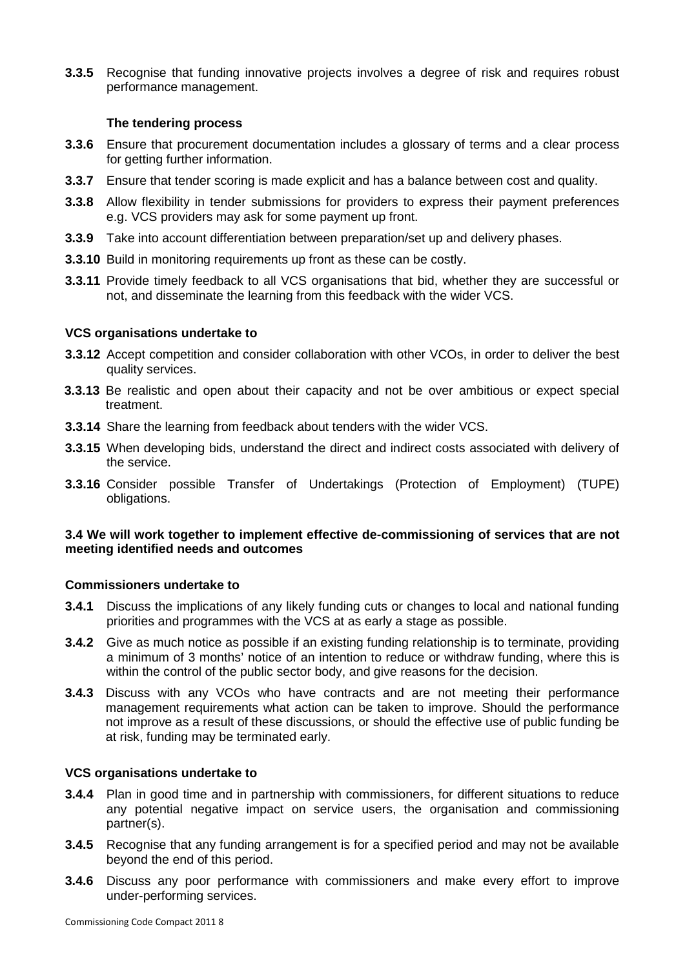**3.3.5** Recognise that funding innovative projects involves a degree of risk and requires robust performance management.

#### **The tendering process**

- **3.3.6** Ensure that procurement documentation includes a glossary of terms and a clear process for getting further information.
- **3.3.7** Ensure that tender scoring is made explicit and has a balance between cost and quality.
- **3.3.8** Allow flexibility in tender submissions for providers to express their payment preferences e.g. VCS providers may ask for some payment up front.
- **3.3.9** Take into account differentiation between preparation/set up and delivery phases.
- **3.3.10** Build in monitoring requirements up front as these can be costly.
- **3.3.11** Provide timely feedback to all VCS organisations that bid, whether they are successful or not, and disseminate the learning from this feedback with the wider VCS.

#### **VCS organisations undertake to**

- **3.3.12** Accept competition and consider collaboration with other VCOs, in order to deliver the best quality services.
- **3.3.13** Be realistic and open about their capacity and not be over ambitious or expect special treatment.
- **3.3.14** Share the learning from feedback about tenders with the wider VCS.
- **3.3.15** When developing bids, understand the direct and indirect costs associated with delivery of the service.
- **3.3.16** Consider possible Transfer of Undertakings (Protection of Employment) (TUPE) obligations.

## **3.4 We will work together to implement effective de-commissioning of services that are not meeting identified needs and outcomes**

#### **Commissioners undertake to**

- **3.4.1** Discuss the implications of any likely funding cuts or changes to local and national funding priorities and programmes with the VCS at as early a stage as possible.
- **3.4.2** Give as much notice as possible if an existing funding relationship is to terminate, providing a minimum of 3 months' notice of an intention to reduce or withdraw funding, where this is within the control of the public sector body, and give reasons for the decision.
- **3.4.3** Discuss with any VCOs who have contracts and are not meeting their performance management requirements what action can be taken to improve. Should the performance not improve as a result of these discussions, or should the effective use of public funding be at risk, funding may be terminated early.

#### **VCS organisations undertake to**

- **3.4.4** Plan in good time and in partnership with commissioners, for different situations to reduce any potential negative impact on service users, the organisation and commissioning partner(s).
- **3.4.5** Recognise that any funding arrangement is for a specified period and may not be available beyond the end of this period.
- **3.4.6** Discuss any poor performance with commissioners and make every effort to improve under-performing services.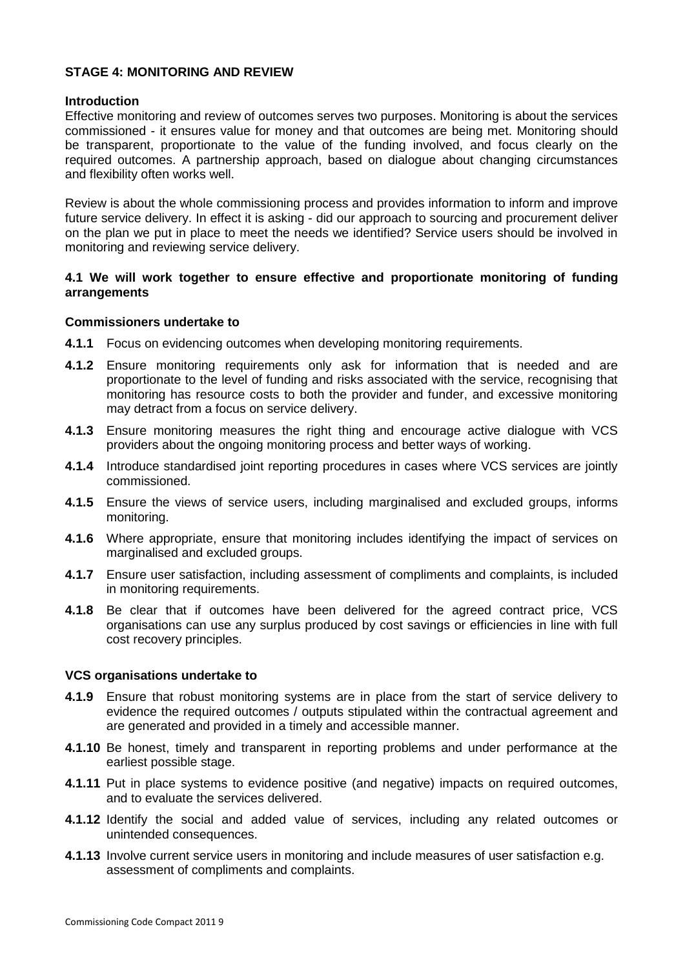## **STAGE 4: MONITORING AND REVIEW**

#### **Introduction**

Effective monitoring and review of outcomes serves two purposes. Monitoring is about the services commissioned - it ensures value for money and that outcomes are being met. Monitoring should be transparent, proportionate to the value of the funding involved, and focus clearly on the required outcomes. A partnership approach, based on dialogue about changing circumstances and flexibility often works well.

Review is about the whole commissioning process and provides information to inform and improve future service delivery. In effect it is asking - did our approach to sourcing and procurement deliver on the plan we put in place to meet the needs we identified? Service users should be involved in monitoring and reviewing service delivery.

## **4.1 We will work together to ensure effective and proportionate monitoring of funding arrangements**

#### **Commissioners undertake to**

- **4.1.1** Focus on evidencing outcomes when developing monitoring requirements.
- **4.1.2** Ensure monitoring requirements only ask for information that is needed and are proportionate to the level of funding and risks associated with the service, recognising that monitoring has resource costs to both the provider and funder, and excessive monitoring may detract from a focus on service delivery.
- **4.1.3** Ensure monitoring measures the right thing and encourage active dialogue with VCS providers about the ongoing monitoring process and better ways of working.
- **4.1.4** Introduce standardised joint reporting procedures in cases where VCS services are jointly commissioned.
- **4.1.5** Ensure the views of service users, including marginalised and excluded groups, informs monitoring.
- **4.1.6** Where appropriate, ensure that monitoring includes identifying the impact of services on marginalised and excluded groups.
- **4.1.7** Ensure user satisfaction, including assessment of compliments and complaints, is included in monitoring requirements.
- **4.1.8** Be clear that if outcomes have been delivered for the agreed contract price, VCS organisations can use any surplus produced by cost savings or efficiencies in line with full cost recovery principles.

#### **VCS organisations undertake to**

- **4.1.9** Ensure that robust monitoring systems are in place from the start of service delivery to evidence the required outcomes / outputs stipulated within the contractual agreement and are generated and provided in a timely and accessible manner.
- **4.1.10** Be honest, timely and transparent in reporting problems and under performance at the earliest possible stage.
- **4.1.11** Put in place systems to evidence positive (and negative) impacts on required outcomes, and to evaluate the services delivered.
- **4.1.12** Identify the social and added value of services, including any related outcomes or unintended consequences.
- **4.1.13** Involve current service users in monitoring and include measures of user satisfaction e.g. assessment of compliments and complaints.